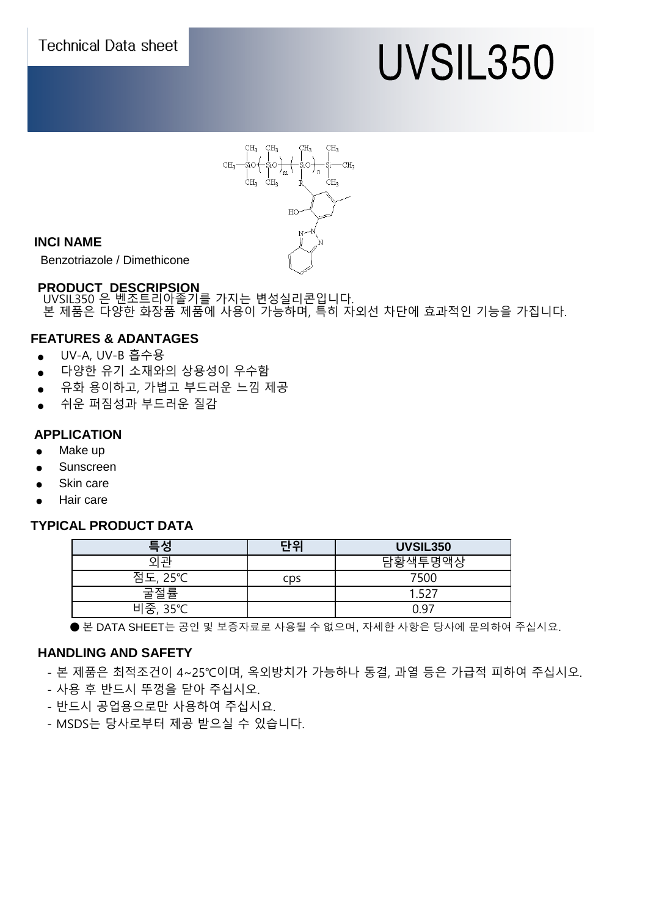

# UVSIL350



#### **INCI NAME**

Benzotriazole / Dimethicone

# **PRODUCT DESCRIPSION**

 UVSIL350 은 벤조트리아졸기를 가지는 변성실리콘입니다. 본 제품은 다양한 화장품 제품에 사용이 가능하며, 특히 자외선 차단에 효과적인 기능을 가집니다.

## **FEATURES & ADANTAGES**

- UV-A, UV-B 흡수용
- 다양한 유기 소재와의 상용성이 우수함
- 유화 용이하고, 가볍고 부드러운 느낌 제공
- 쉬운 퍼짐성과 부드러운 질감

#### **APPLICATION**

- Make up
- Sunscreen
- **Skin care**
- Hair care

#### **TYPICAL PRODUCT DATA**

| 특성      | 단위  | <b>UVSIL350</b> |
|---------|-----|-----------------|
|         |     | 담황색투명액상         |
| 점도, 25℃ | cps | 7500            |
| 굴절률     |     |                 |
| 비중, 35℃ |     | $\bigcap Q^-$   |

● 본 DATA SHEET는 공인 및 보증자료로 사용될 수 없으며, 자세한 사항은 당사에 문의하여 주십시요.

#### **HANDLING AND SAFETY**

- 본 제품은 최적조건이 4~25℃이며, 옥외방치가 가능하나 동결, 과열 등은 가급적 피하여 주십시오.
- 사용 후 반드시 뚜껑을 닫아 주십시오.
- 반드시 공업용으로만 사용하여 주십시요.
- MSDS는 당사로부터 제공 받으실 수 있습니다.